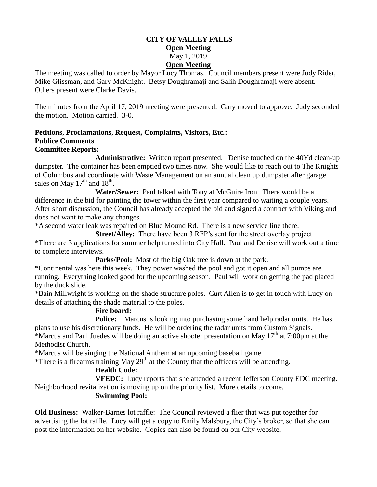### **CITY OF VALLEY FALLS Open Meeting** May 1, 2019 **Open Meeting**

The meeting was called to order by Mayor Lucy Thomas. Council members present were Judy Rider, Mike Glissman, and Gary McKnight. Betsy Doughramaji and Salih Doughramaji were absent. Others present were Clarke Davis.

The minutes from the April 17, 2019 meeting were presented. Gary moved to approve. Judy seconded the motion. Motion carried. 3-0.

#### **Petitions**, **Proclamations**, **Request, Complaints, Visitors, Etc.: Publice Comments Committee Reports:**

**Administrative:** Written report presented. Denise touched on the 40Yd clean-up dumpster. The container has been emptied two times now. She would like to reach out to The Knights of Columbus and coordinate with Waste Management on an annual clean up dumpster after garage sales on May  $17<sup>th</sup>$  and  $18<sup>th</sup>$ .

**Water/Sewer:** Paul talked with Tony at McGuire Iron. There would be a difference in the bid for painting the tower within the first year compared to waiting a couple years. After short discussion, the Council has already accepted the bid and signed a contract with Viking and does not want to make any changes.

\*A second water leak was repaired on Blue Mound Rd. There is a new service line there.

**Street/Alley:** There have been 3 RFP's sent for the street overlay project.

\*There are 3 applications for summer help turned into City Hall. Paul and Denise will work out a time to complete interviews.

**Parks/Pool:** Most of the big Oak tree is down at the park.

\*Continental was here this week. They power washed the pool and got it open and all pumps are running. Everything looked good for the upcoming season. Paul will work on getting the pad placed by the duck slide.

\*Bain Millwright is working on the shade structure poles. Curt Allen is to get in touch with Lucy on details of attaching the shade material to the poles.

# **Fire board:**

**Police:** Marcus is looking into purchasing some hand help radar units. He has plans to use his discretionary funds. He will be ordering the radar units from Custom Signals.

\*Marcus and Paul Juedes will be doing an active shooter presentation on May  $17<sup>th</sup>$  at 7:00pm at the Methodist Church.

\*Marcus will be singing the National Anthem at an upcoming baseball game.

\*There is a firearms training May  $29<sup>th</sup>$  at the County that the officers will be attending.

# **Health Code:**

**VFEDC:** Lucy reports that she attended a recent Jefferson County EDC meeting. Neighborhood revitalization is moving up on the priority list. More details to come.

# **Swimming Pool:**

**Old Business:** Walker-Barnes lot raffle: The Council reviewed a flier that was put together for advertising the lot raffle. Lucy will get a copy to Emily Malsbury, the City's broker, so that she can post the information on her website. Copies can also be found on our City website.